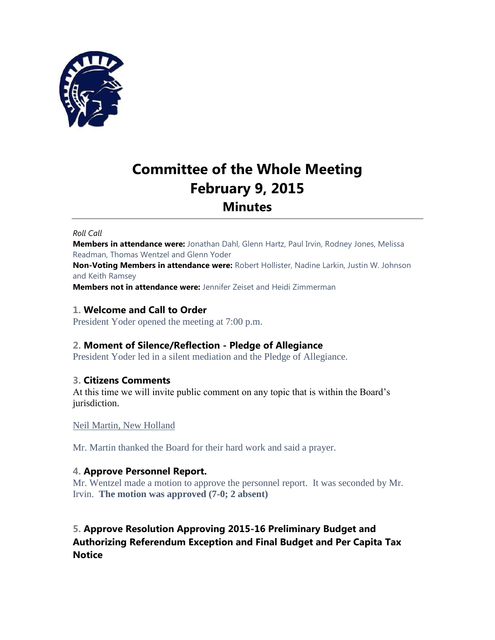

# **Committee of the Whole Meeting February 9, 2015 Minutes**

#### *Roll Call*

**Members in attendance were:** Jonathan Dahl, Glenn Hartz, Paul Irvin, Rodney Jones, Melissa Readman, Thomas Wentzel and Glenn Yoder

**Non-Voting Members in attendance were:** Robert Hollister, Nadine Larkin, Justin W. Johnson and Keith Ramsey

**Members not in attendance were:** Jennifer Zeiset and Heidi Zimmerman

### **1. Welcome and Call to Order**

President Yoder opened the meeting at 7:00 p.m.

# **2. Moment of Silence/Reflection - Pledge of Allegiance**

President Yoder led in a silent mediation and the Pledge of Allegiance.

# **3. Citizens Comments**

At this time we will invite public comment on any topic that is within the Board's jurisdiction.

### Neil Martin, New Holland

Mr. Martin thanked the Board for their hard work and said a prayer.

# **4. Approve Personnel Report.**

Mr. Wentzel made a motion to approve the personnel report. It was seconded by Mr. Irvin. **The motion was approved (7-0; 2 absent)**

# **5. Approve Resolution Approving 2015-16 Preliminary Budget and Authorizing Referendum Exception and Final Budget and Per Capita Tax Notice**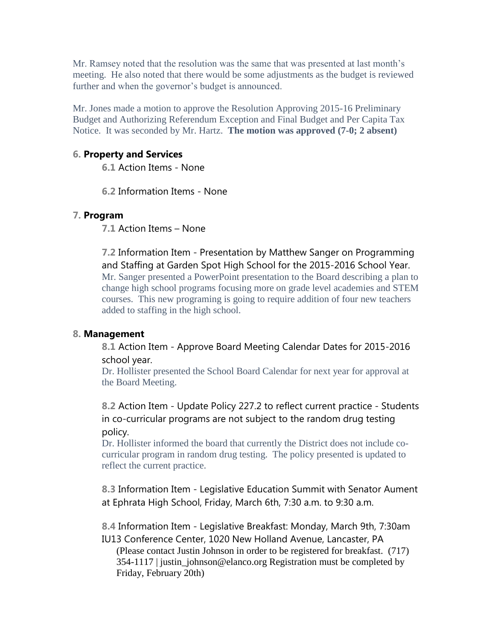Mr. Ramsey noted that the resolution was the same that was presented at last month's meeting. He also noted that there would be some adjustments as the budget is reviewed further and when the governor's budget is announced.

Mr. Jones made a motion to approve the Resolution Approving 2015-16 Preliminary Budget and Authorizing Referendum Exception and Final Budget and Per Capita Tax Notice. It was seconded by Mr. Hartz. **The motion was approved (7-0; 2 absent)**

# **6. Property and Services**

**6.1** Action Items - None

**6.2** Information Items - None

# **7. Program**

**7.1** Action Items – None

**7.2** Information Item - Presentation by Matthew Sanger on Programming and Staffing at Garden Spot High School for the 2015-2016 School Year. Mr. Sanger presented a PowerPoint presentation to the Board describing a plan to change high school programs focusing more on grade level academies and STEM courses. This new programing is going to require addition of four new teachers added to staffing in the high school.

### **8. Management**

**8.1** Action Item - Approve Board Meeting Calendar Dates for 2015-2016 school year.

Dr. Hollister presented the School Board Calendar for next year for approval at the Board Meeting.

**8.2** Action Item - Update Policy 227.2 to reflect current practice - Students in co-curricular programs are not subject to the random drug testing policy.

Dr. Hollister informed the board that currently the District does not include cocurricular program in random drug testing. The policy presented is updated to reflect the current practice.

**8.3** Information Item - Legislative Education Summit with Senator Aument at Ephrata High School, Friday, March 6th, 7:30 a.m. to 9:30 a.m.

**8.4** Information Item - Legislative Breakfast: Monday, March 9th, 7:30am IU13 Conference Center, 1020 New Holland Avenue, Lancaster, PA (Please contact Justin Johnson in order to be registered for breakfast. (717) 354-1117 | justin\_johnson@elanco.org Registration must be completed by Friday, February 20th)